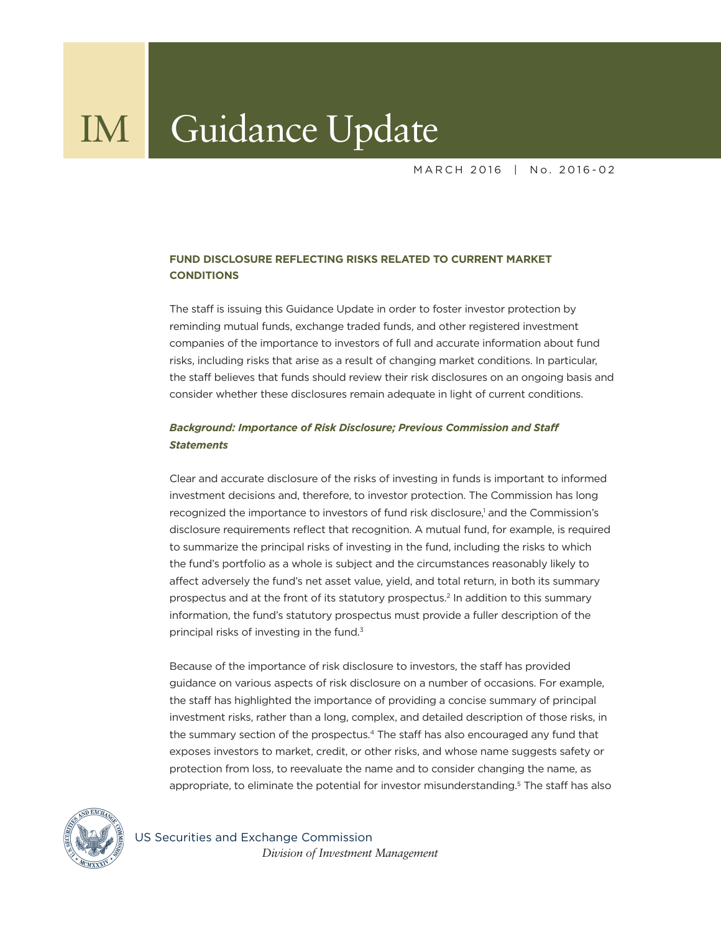MARCH 2016 | No. 2016-02

# **FUND DISCLOSURE REFLECTING RISKS RELATED TO CURRENT MARKET CONDITIONS**

The staff is issuing this Guidance Update in order to foster investor protection by reminding mutual funds, exchange traded funds, and other registered investment companies of the importance to investors of full and accurate information about fund risks, including risks that arise as a result of changing market conditions. In particular, the staff believes that funds should review their risk disclosures on an ongoing basis and consider whether these disclosures remain adequate in light of current conditions.

# *Background: Importance of Risk Disclosure; Previous Commission and Staff Statements*

Clear and accurate disclosure of the risks of investing in funds is important to informed investment decisions and, therefore, to investor protection. The Commission has long recognized the importance to investors of fund risk disclosure,<sup>1</sup> and the Commission's disclosure requirements reflect that recognition. A mutual fund, for example, is required to summarize the principal risks of investing in the fund, including the risks to which the fund's portfolio as a whole is subject and the circumstances reasonably likely to affect adversely the fund's net asset value, yield, and total return, in both its summary prospectus and at the front of its statutory prospectus.2 In addition to this summary information, the fund's statutory prospectus must provide a fuller description of the principal risks of investing in the fund.<sup>3</sup>

Because of the importance of risk disclosure to investors, the staff has provided guidance on various aspects of risk disclosure on a number of occasions. For example, the staff has highlighted the importance of providing a concise summary of principal investment risks, rather than a long, complex, and detailed description of those risks, in the summary section of the prospectus.<sup>4</sup> The staff has also encouraged any fund that exposes investors to market, credit, or other risks, and whose name suggests safety or protection from loss, to reevaluate the name and to consider changing the name, as appropriate, to eliminate the potential for investor misunderstanding.<sup>5</sup> The staff has also



US Securities and Exchange Commission  *Division of Investment Management*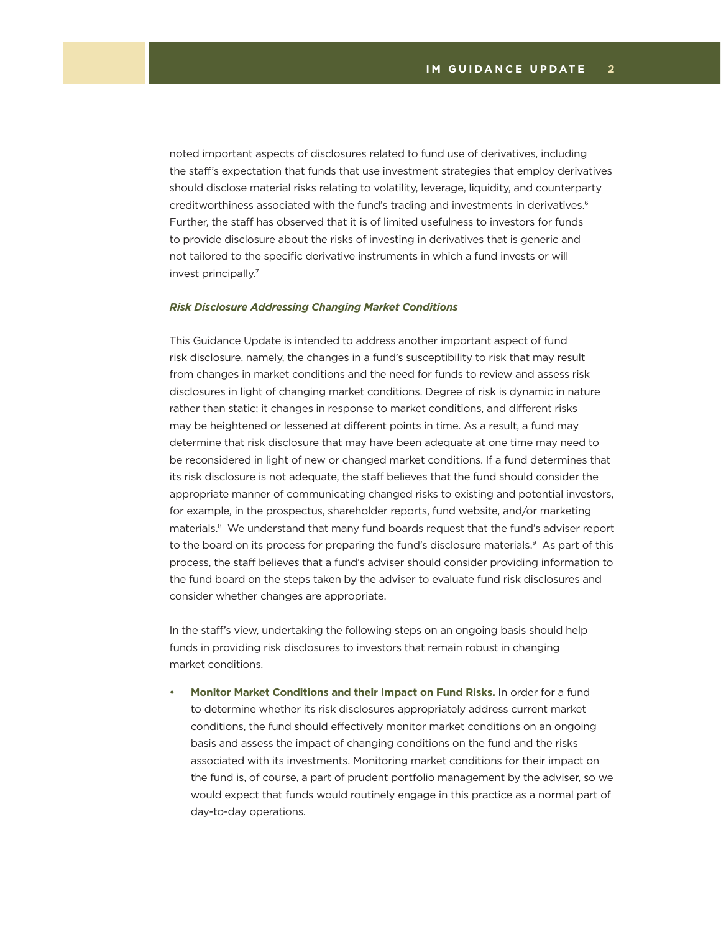noted important aspects of disclosures related to fund use of derivatives, including the staff's expectation that funds that use investment strategies that employ derivatives should disclose material risks relating to volatility, leverage, liquidity, and counterparty creditworthiness associated with the fund's trading and investments in derivatives.<sup>6</sup> Further, the staff has observed that it is of limited usefulness to investors for funds to provide disclosure about the risks of investing in derivatives that is generic and not tailored to the specific derivative instruments in which a fund invests or will invest principally.7

#### *Risk Disclosure Addressing Changing Market Conditions*

This Guidance Update is intended to address another important aspect of fund risk disclosure, namely, the changes in a fund's susceptibility to risk that may result from changes in market conditions and the need for funds to review and assess risk disclosures in light of changing market conditions. Degree of risk is dynamic in nature rather than static; it changes in response to market conditions, and different risks may be heightened or lessened at different points in time. As a result, a fund may determine that risk disclosure that may have been adequate at one time may need to be reconsidered in light of new or changed market conditions. If a fund determines that its risk disclosure is not adequate, the staff believes that the fund should consider the appropriate manner of communicating changed risks to existing and potential investors, for example, in the prospectus, shareholder reports, fund website, and/or marketing materials.<sup>8</sup> We understand that many fund boards request that the fund's adviser report to the board on its process for preparing the fund's disclosure materials.<sup>9</sup> As part of this process, the staff believes that a fund's adviser should consider providing information to the fund board on the steps taken by the adviser to evaluate fund risk disclosures and consider whether changes are appropriate.

In the staff's view, undertaking the following steps on an ongoing basis should help funds in providing risk disclosures to investors that remain robust in changing market conditions.

**• Monitor Market Conditions and their Impact on Fund Risks.** In order for a fund to determine whether its risk disclosures appropriately address current market conditions, the fund should effectively monitor market conditions on an ongoing basis and assess the impact of changing conditions on the fund and the risks associated with its investments. Monitoring market conditions for their impact on the fund is, of course, a part of prudent portfolio management by the adviser, so we would expect that funds would routinely engage in this practice as a normal part of day-to-day operations.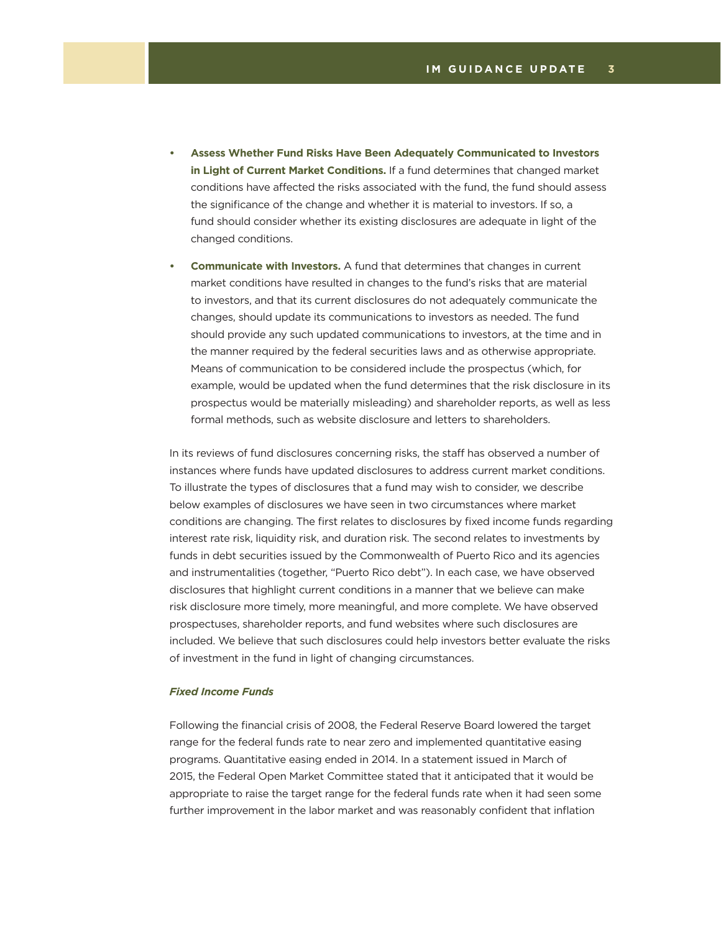- **Assess Whether Fund Risks Have Been Adequately Communicated to Investors in Light of Current Market Conditions.** If a fund determines that changed market conditions have affected the risks associated with the fund, the fund should assess the significance of the change and whether it is material to investors. If so, a fund should consider whether its existing disclosures are adequate in light of the changed conditions.
- **• Communicate with Investors.** A fund that determines that changes in current market conditions have resulted in changes to the fund's risks that are material to investors, and that its current disclosures do not adequately communicate the changes, should update its communications to investors as needed. The fund should provide any such updated communications to investors, at the time and in the manner required by the federal securities laws and as otherwise appropriate. Means of communication to be considered include the prospectus (which, for example, would be updated when the fund determines that the risk disclosure in its prospectus would be materially misleading) and shareholder reports, as well as less formal methods, such as website disclosure and letters to shareholders.

In its reviews of fund disclosures concerning risks, the staff has observed a number of instances where funds have updated disclosures to address current market conditions. To illustrate the types of disclosures that a fund may wish to consider, we describe below examples of disclosures we have seen in two circumstances where market conditions are changing. The first relates to disclosures by fixed income funds regarding interest rate risk, liquidity risk, and duration risk. The second relates to investments by funds in debt securities issued by the Commonwealth of Puerto Rico and its agencies and instrumentalities (together, "Puerto Rico debt"). In each case, we have observed disclosures that highlight current conditions in a manner that we believe can make risk disclosure more timely, more meaningful, and more complete. We have observed prospectuses, shareholder reports, and fund websites where such disclosures are included. We believe that such disclosures could help investors better evaluate the risks of investment in the fund in light of changing circumstances.

## *Fixed Income Funds*

Following the financial crisis of 2008, the Federal Reserve Board lowered the target range for the federal funds rate to near zero and implemented quantitative easing programs. Quantitative easing ended in 2014. In a statement issued in March of 2015, the Federal Open Market Committee stated that it anticipated that it would be appropriate to raise the target range for the federal funds rate when it had seen some further improvement in the labor market and was reasonably confident that inflation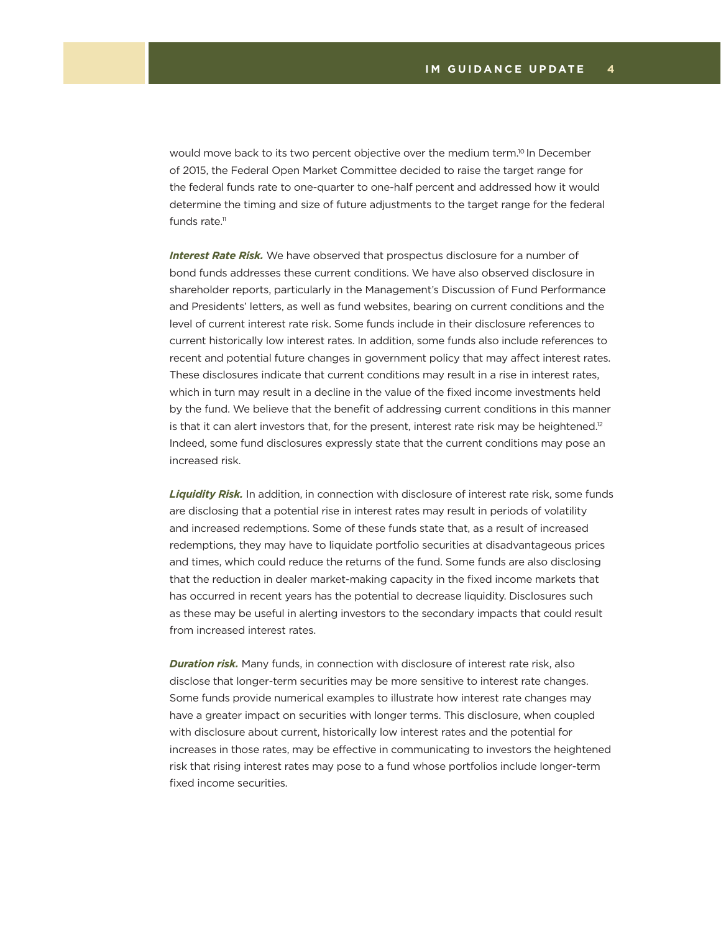would move back to its two percent objective over the medium term.<sup>10</sup> In December of 2015, the Federal Open Market Committee decided to raise the target range for the federal funds rate to one-quarter to one-half percent and addressed how it would determine the timing and size of future adjustments to the target range for the federal funds rate. $11$ 

*Interest Rate Risk.* We have observed that prospectus disclosure for a number of bond funds addresses these current conditions. We have also observed disclosure in shareholder reports, particularly in the Management's Discussion of Fund Performance and Presidents' letters, as well as fund websites, bearing on current conditions and the level of current interest rate risk. Some funds include in their disclosure references to current historically low interest rates. In addition, some funds also include references to recent and potential future changes in government policy that may affect interest rates. These disclosures indicate that current conditions may result in a rise in interest rates, which in turn may result in a decline in the value of the fixed income investments held by the fund. We believe that the benefit of addressing current conditions in this manner is that it can alert investors that, for the present, interest rate risk may be heightened.<sup>12</sup> Indeed, some fund disclosures expressly state that the current conditions may pose an increased risk.

*Liquidity Risk.* In addition, in connection with disclosure of interest rate risk, some funds are disclosing that a potential rise in interest rates may result in periods of volatility and increased redemptions. Some of these funds state that, as a result of increased redemptions, they may have to liquidate portfolio securities at disadvantageous prices and times, which could reduce the returns of the fund. Some funds are also disclosing that the reduction in dealer market-making capacity in the fixed income markets that has occurred in recent years has the potential to decrease liquidity. Disclosures such as these may be useful in alerting investors to the secondary impacts that could result from increased interest rates.

*Duration risk.* Many funds, in connection with disclosure of interest rate risk, also disclose that longer-term securities may be more sensitive to interest rate changes. Some funds provide numerical examples to illustrate how interest rate changes may have a greater impact on securities with longer terms. This disclosure, when coupled with disclosure about current, historically low interest rates and the potential for increases in those rates, may be effective in communicating to investors the heightened risk that rising interest rates may pose to a fund whose portfolios include longer-term fixed income securities.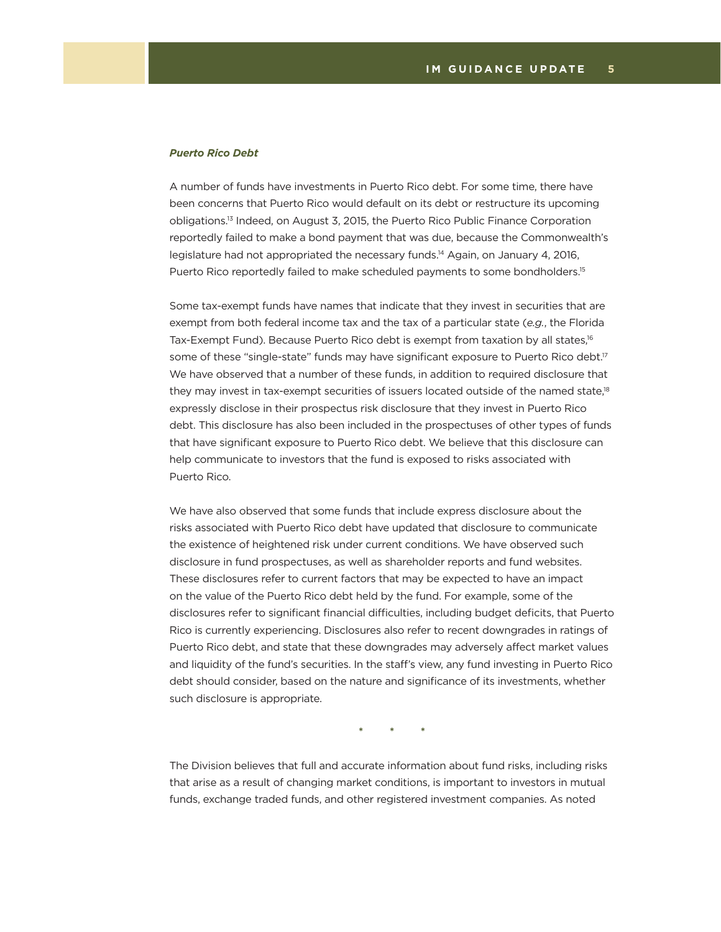### *Puerto Rico Debt*

A number of funds have investments in Puerto Rico debt. For some time, there have been concerns that Puerto Rico would default on its debt or restructure its upcoming obligations.13 Indeed, on August 3, 2015, the Puerto Rico Public Finance Corporation reportedly failed to make a bond payment that was due, because the Commonwealth's legislature had not appropriated the necessary funds.14 Again, on January 4, 2016, Puerto Rico reportedly failed to make scheduled payments to some bondholders.<sup>15</sup>

Some tax-exempt funds have names that indicate that they invest in securities that are exempt from both federal income tax and the tax of a particular state (*e.g.*, the Florida Tax-Exempt Fund). Because Puerto Rico debt is exempt from taxation by all states,<sup>16</sup> some of these "single-state" funds may have significant exposure to Puerto Rico debt.<sup>17</sup> We have observed that a number of these funds, in addition to required disclosure that they may invest in tax-exempt securities of issuers located outside of the named state,<sup>18</sup> expressly disclose in their prospectus risk disclosure that they invest in Puerto Rico debt. This disclosure has also been included in the prospectuses of other types of funds that have significant exposure to Puerto Rico debt. We believe that this disclosure can help communicate to investors that the fund is exposed to risks associated with Puerto Rico.

We have also observed that some funds that include express disclosure about the risks associated with Puerto Rico debt have updated that disclosure to communicate the existence of heightened risk under current conditions. We have observed such disclosure in fund prospectuses, as well as shareholder reports and fund websites. These disclosures refer to current factors that may be expected to have an impact on the value of the Puerto Rico debt held by the fund. For example, some of the disclosures refer to significant financial difficulties, including budget deficits, that Puerto Rico is currently experiencing. Disclosures also refer to recent downgrades in ratings of Puerto Rico debt, and state that these downgrades may adversely affect market values and liquidity of the fund's securities. In the staff's view, any fund investing in Puerto Rico debt should consider, based on the nature and significance of its investments, whether such disclosure is appropriate.

**\* \* \***

The Division believes that full and accurate information about fund risks, including risks that arise as a result of changing market conditions, is important to investors in mutual funds, exchange traded funds, and other registered investment companies. As noted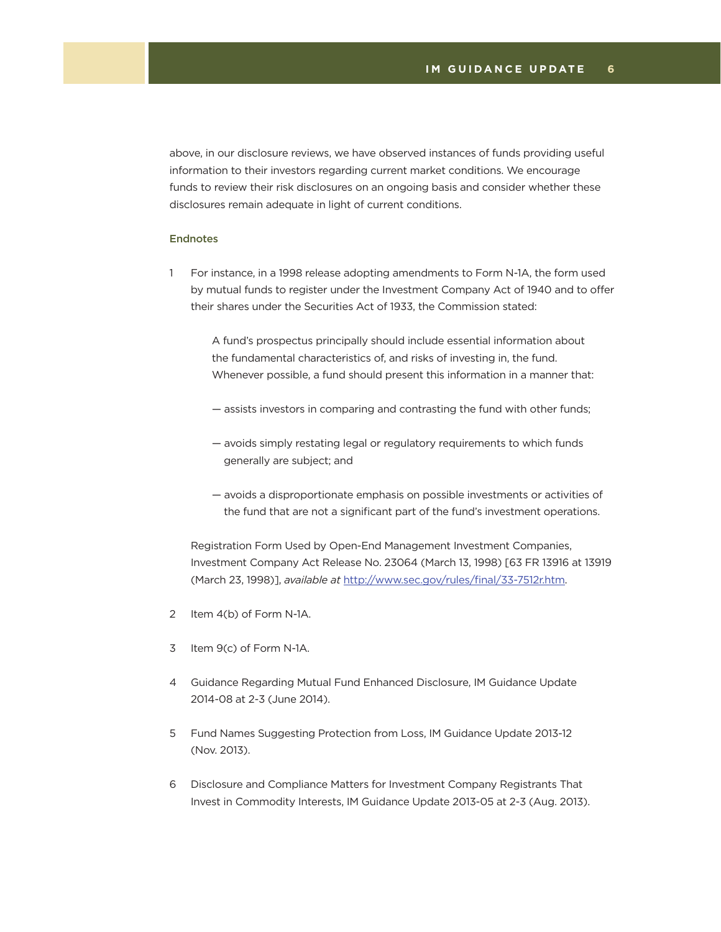above, in our disclosure reviews, we have observed instances of funds providing useful information to their investors regarding current market conditions. We encourage funds to review their risk disclosures on an ongoing basis and consider whether these disclosures remain adequate in light of current conditions.

### Endnotes

1 For instance, in a 1998 release adopting amendments to Form N-1A, the form used by mutual funds to register under the Investment Company Act of 1940 and to offer their shares under the Securities Act of 1933, the Commission stated:

 A fund's prospectus principally should include essential information about the fundamental characteristics of, and risks of investing in, the fund. Whenever possible, a fund should present this information in a manner that:

- assists investors in comparing and contrasting the fund with other funds;
- avoids simply restating legal or regulatory requirements to which funds generally are subject; and
- avoids a disproportionate emphasis on possible investments or activities of the fund that are not a significant part of the fund's investment operations.

 Registration Form Used by Open-End Management Investment Companies, Investment Company Act Release No. 23064 (March 13, 1998) [63 FR 13916 at 13919 (March 23, 1998)], *available at* [http://www.sec.gov/rules/final/33-7512r.htm.](http://www.sec.gov/rules/final/33-7512r.htm)

- 2 Item 4(b) of Form N-1A.
- 3 Item 9(c) of Form N-1A.
- 4 Guidance Regarding Mutual Fund Enhanced Disclosure, IM Guidance Update 2014-08 at 2-3 (June 2014).
- 5 Fund Names Suggesting Protection from Loss, IM Guidance Update 2013-12 (Nov. 2013).
- 6 Disclosure and Compliance Matters for Investment Company Registrants That Invest in Commodity Interests, IM Guidance Update 2013-05 at 2-3 (Aug. 2013).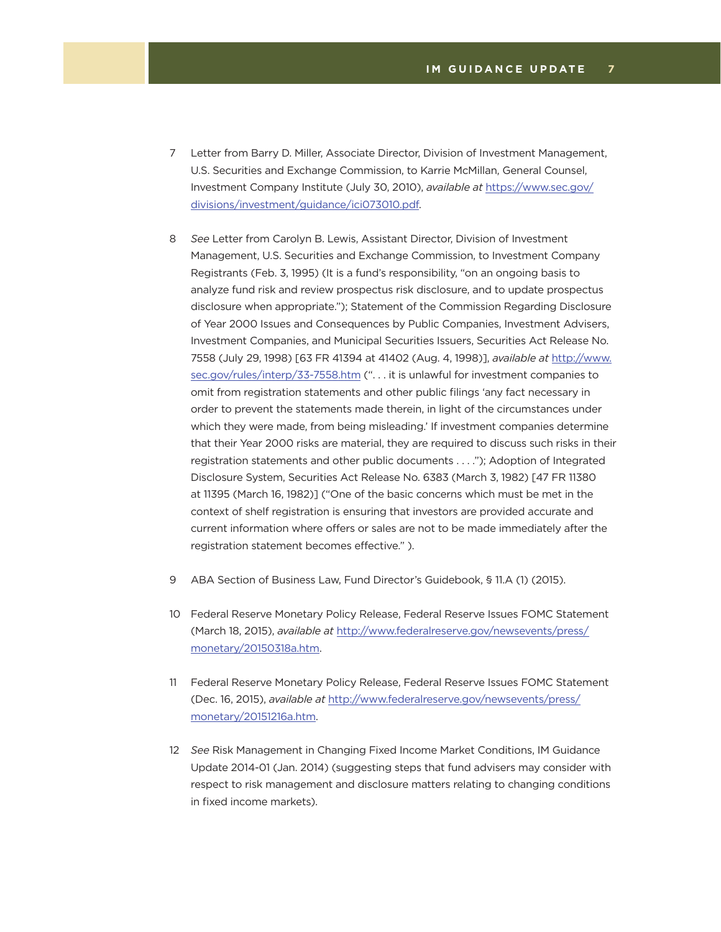- 7 Letter from Barry D. Miller, Associate Director, Division of Investment Management, U.S. Securities and Exchange Commission, to Karrie McMillan, General Counsel, Investment Company Institute (July 30, 2010), *available at* [https://www.sec.gov/](https://www.sec.gov/divisions/investment/guidance/ici073010.pdf) [divisions/investment/guidance/ici073010.pdf.](https://www.sec.gov/divisions/investment/guidance/ici073010.pdf)
- 8 *See* Letter from Carolyn B. Lewis, Assistant Director, Division of Investment Management, U.S. Securities and Exchange Commission, to Investment Company Registrants (Feb. 3, 1995) (It is a fund's responsibility, "on an ongoing basis to analyze fund risk and review prospectus risk disclosure, and to update prospectus disclosure when appropriate."); Statement of the Commission Regarding Disclosure of Year 2000 Issues and Consequences by Public Companies, Investment Advisers, Investment Companies, and Municipal Securities Issuers, Securities Act Release No. 7558 (July 29, 1998) [63 FR 41394 at 41402 (Aug. 4, 1998)], *available at* [http://www.](http://www.sec.gov/rules/interp/33-7558.htm) [sec.gov/rules/interp/33-7558.htm](http://www.sec.gov/rules/interp/33-7558.htm) (". . . it is unlawful for investment companies to omit from registration statements and other public filings 'any fact necessary in order to prevent the statements made therein, in light of the circumstances under which they were made, from being misleading.' If investment companies determine that their Year 2000 risks are material, they are required to discuss such risks in their registration statements and other public documents . . . ."); Adoption of Integrated Disclosure System, Securities Act Release No. 6383 (March 3, 1982) [47 FR 11380 at 11395 (March 16, 1982)] ("One of the basic concerns which must be met in the context of shelf registration is ensuring that investors are provided accurate and current information where offers or sales are not to be made immediately after the registration statement becomes effective." ).
- 9 ABA Section of Business Law, Fund Director's Guidebook, § 11.A (1) (2015).
- 10 Federal Reserve Monetary Policy Release, Federal Reserve Issues FOMC Statement (March 18, 2015), *available at* [http://www.federalreserve.gov/newsevents/press/](http://www.federalreserve.gov/newsevents/press/monetary/20150318a.htm) [monetary/20150318a.htm](http://www.federalreserve.gov/newsevents/press/monetary/20150318a.htm).
- 11 Federal Reserve Monetary Policy Release, Federal Reserve Issues FOMC Statement (Dec. 16, 2015), *available at* [http://www.federalreserve.gov/newsevents/press/](http://www.federalreserve.gov/newsevents/press/monetary/20151216a.htm) [monetary/20151216a.htm](http://www.federalreserve.gov/newsevents/press/monetary/20151216a.htm).
- 12 *See* Risk Management in Changing Fixed Income Market Conditions, IM Guidance Update 2014-01 (Jan. 2014) (suggesting steps that fund advisers may consider with respect to risk management and disclosure matters relating to changing conditions in fixed income markets).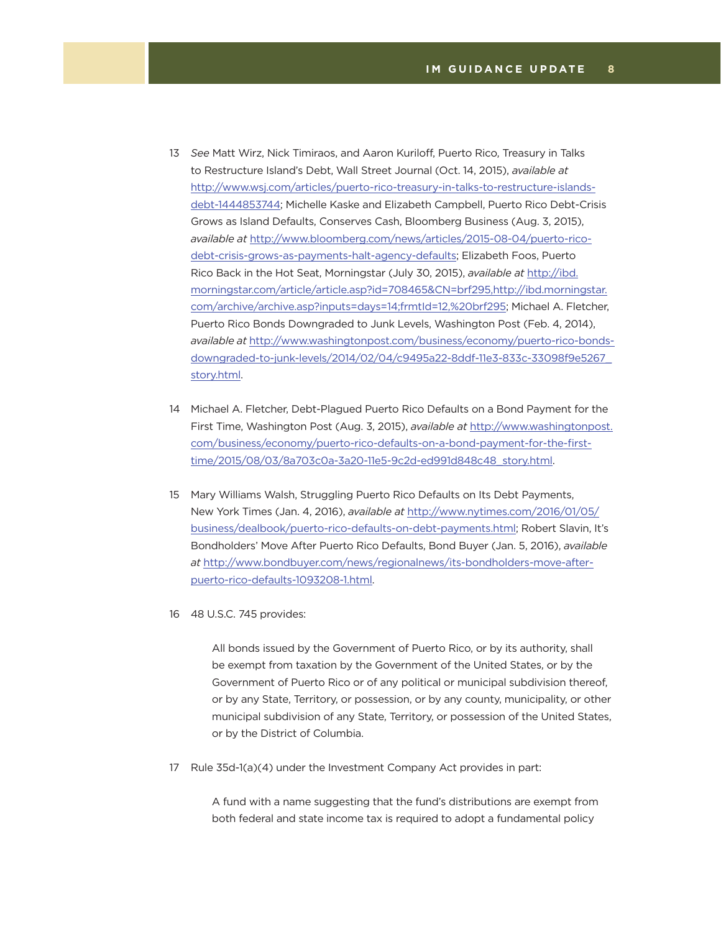- 13 *See* Matt Wirz, Nick Timiraos, and Aaron Kuriloff, Puerto Rico, Treasury in Talks to Restructure Island's Debt, Wall Street Journal (Oct. 14, 2015), *available at*  [http://www.wsj.com/articles/puerto-rico-treasury-in-talks-to-restructure-islands](http://www.wsj.com/articles/puerto-rico-treasury-in-talks-to-restructure-islands-debt-1444853744)[debt-1444853744](http://www.wsj.com/articles/puerto-rico-treasury-in-talks-to-restructure-islands-debt-1444853744); Michelle Kaske and Elizabeth Campbell, Puerto Rico Debt-Crisis Grows as Island Defaults, Conserves Cash, Bloomberg Business (Aug. 3, 2015), *available at* [http://www.bloomberg.com/news/articles/2015-08-04/puerto-rico](http://www.bloomberg.com/news/articles/2015-08-04/puerto-rico-debt-crisis-grows-as-payments-halt-agency-defaults)[debt-crisis-grows-as-payments-halt-agency-defaults;](http://www.bloomberg.com/news/articles/2015-08-04/puerto-rico-debt-crisis-grows-as-payments-halt-agency-defaults) Elizabeth Foos, Puerto Rico Back in the Hot Seat, Morningstar (July 30, 2015), *available at* [http://ibd.](http://ibd.morningstar.com/article/article.asp?id=708465&CN=brf295,http://ibd.morningstar.com/archiv) [morningstar.com/article/article.asp?id=708465&CN=brf295,http://ibd.morningstar.](http://ibd.morningstar.com/article/article.asp?id=708465&CN=brf295,http://ibd.morningstar.com/archiv) [com/archive/archive.asp?inputs=days=14;frmtId=12,%20brf295;](http://ibd.morningstar.com/article/article.asp?id=708465&CN=brf295,http://ibd.morningstar.com/archiv) Michael A. Fletcher, Puerto Rico Bonds Downgraded to Junk Levels, Washington Post (Feb. 4, 2014), *available at* [http://www.washingtonpost.com/business/economy/puerto-rico-bonds](http://www.washingtonpost.com/business/economy/puerto-rico-bonds-downgraded-to-junk-levels/2014/02/04/c9495a22-8ddf-11e3-833c-33098f9e5267_story.html)[downgraded-to-junk-levels/2014/02/04/c9495a22-8ddf-11e3-833c-33098f9e5267\\_](http://www.washingtonpost.com/business/economy/puerto-rico-bonds-downgraded-to-junk-levels/2014/02/04/c9495a22-8ddf-11e3-833c-33098f9e5267_story.html) [story.html](http://www.washingtonpost.com/business/economy/puerto-rico-bonds-downgraded-to-junk-levels/2014/02/04/c9495a22-8ddf-11e3-833c-33098f9e5267_story.html).
- 14 Michael A. Fletcher, Debt-Plagued Puerto Rico Defaults on a Bond Payment for the First Time, Washington Post (Aug. 3, 2015), *available at* [http://www.washingtonpost.](http://www.washingtonpost.com/business/economy/puerto-rico-defaults-on-a-bond-payment-for-the-first-time/2015/08/03/8a703c0a-3a20-11e5-9c2d-ed991d848c48_story.html) [com/business/economy/puerto-rico-defaults-on-a-bond-payment-for-the-first](http://www.washingtonpost.com/business/economy/puerto-rico-defaults-on-a-bond-payment-for-the-first-time/2015/08/03/8a703c0a-3a20-11e5-9c2d-ed991d848c48_story.html)[time/2015/08/03/8a703c0a-3a20-11e5-9c2d-ed991d848c48\\_story.html](http://www.washingtonpost.com/business/economy/puerto-rico-defaults-on-a-bond-payment-for-the-first-time/2015/08/03/8a703c0a-3a20-11e5-9c2d-ed991d848c48_story.html).
- 15 Mary Williams Walsh, Struggling Puerto Rico Defaults on Its Debt Payments, New York Times (Jan. 4, 2016), *available at* [http://www.nytimes.com/2016/01/05/](http://www.nytimes.com/2016/01/05/business/dealbook/puerto-rico-defaults-on-debt-payments.html) [business/dealbook/puerto-rico-defaults-on-debt-payments.html](http://www.nytimes.com/2016/01/05/business/dealbook/puerto-rico-defaults-on-debt-payments.html); Robert Slavin, It's Bondholders' Move After Puerto Rico Defaults, Bond Buyer (Jan. 5, 2016), *available at* [http://www.bondbuyer.com/news/regionalnews/its-bondholders-move-after](http://www.bondbuyer.com/news/regionalnews/its-bondholders-move-after-puerto-rico-defaults-1093208-1.html)[puerto-rico-defaults-1093208-1.html](http://www.bondbuyer.com/news/regionalnews/its-bondholders-move-after-puerto-rico-defaults-1093208-1.html).
- 16 48 U.S.C. 745 provides:

 All bonds issued by the Government of Puerto Rico, or by its authority, shall be exempt from taxation by the Government of the United States, or by the Government of Puerto Rico or of any political or municipal subdivision thereof, or by any State, Territory, or possession, or by any county, municipality, or other municipal subdivision of any State, Territory, or possession of the United States, or by the District of Columbia.

17 Rule 35d-1(a)(4) under the Investment Company Act provides in part:

 A fund with a name suggesting that the fund's distributions are exempt from both federal and state income tax is required to adopt a fundamental policy